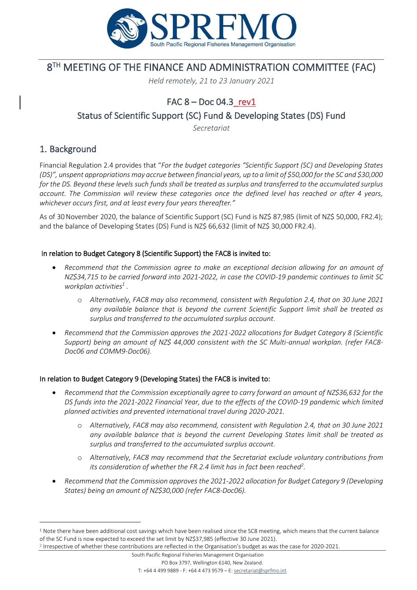

# 8 TH MEETING OF THE FINANCE AND ADMINISTRATION COMMITTEE (FAC)

*Held remotely, 21 to 23 January 2021*

# FAC  $8 - Doc$  04.3 rev1

Status of Scientific Support (SC) Fund & Developing States (DS) Fund

*Secretariat*

## 1. Background

Financial Regulation 2.4 provides that "*For the budget categories "Scientific Support (SC) and Developing States (DS)", unspent appropriations may accrue between financial years, up to a limit of \$50,000 for the SC and \$30,000 for the DS. Beyond these levels such funds shall be treated as surplus and transferred to the accumulated surplus account. The Commission will review these categories once the defined level has reached or after 4 years, whichever occurs first, and at least every four years thereafter."*

As of 30November 2020, the balance of Scientific Support (SC) Fund is NZ\$ 87,985 (limit of NZ\$ 50,000, FR2.4); and the balance of Developing States (DS) Fund is NZ\$ 66,632 (limit of NZ\$ 30,000 FR2.4).

#### In relation to Budget Category 8 (Scientific Support) the FAC8 is invited to:

- *Recommend that the Commission agree to make an exceptional decision allowing for an amount of NZ\$34,715 to be carried forward into 2021-2022, in case the COVID-19 pandemic continues to limit SC workplan activities<sup>1</sup> .* 
	- o *Alternatively, FAC8 may also recommend, consistent with Regulation 2.4, that on 30 June 2021 any available balance that is beyond the current Scientific Support limit shall be treated as surplus and transferred to the accumulated surplus account.*
- *Recommend that the Commission approves the 2021-2022 allocations for Budget Category 8 (Scientific Support) being an amount of NZ\$ 44,000 consistent with the SC Multi-annual workplan. (refer FAC8- Doc06 and COMM9-Doc06).*

#### In relation to Budget Category 9 (Developing States) the FAC8 is invited to:

- *Recommend that the Commission exceptionally agree to carry forward an amount of NZ\$36,632 for the DS funds into the 2021-2022 Financial Year, due to the effects of the COVID-19 pandemic which limited planned activities and prevented international travel during 2020-2021.* 
	- o *Alternatively, FAC8 may also recommend, consistent with Regulation 2.4, that on 30 June 2021 any available balance that is beyond the current Developing States limit shall be treated as surplus and transferred to the accumulated surplus account.*
	- o *Alternatively, FAC8 may recommend that the Secretariat exclude voluntary contributions from its consideration of whether the FR.2.4 limit has in fact been reached<sup>2</sup> .*
- *Recommend that the Commission approves the 2021-2022 allocation for Budget Category 9 (Developing States) being an amount of NZ\$30,000 (refer FAC8-Doc06).*

 $1$  Note there have been additional cost savings which have been realised since the SC8 meeting, which means that the current balance of the SC Fund is now expected to exceed the set limit by NZ\$37,985 (effective 30 June 2021).

<sup>2</sup> Irrespective of whether these contributions are reflected in the Organisation's budget as was the case for 2020-2021.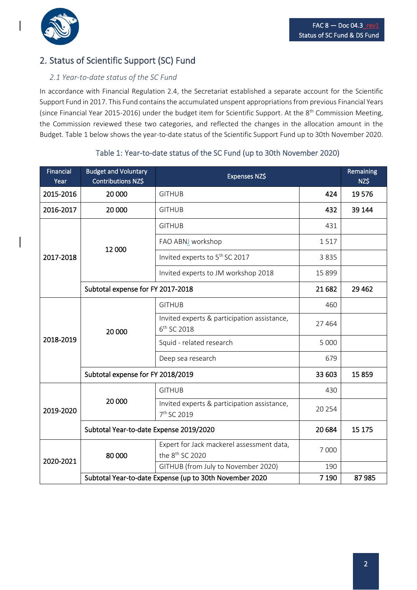

# 2. Status of Scientific Support (SC) Fund

## *2.1 Year-to-date status of the SC Fund*

In accordance with Financial Regulation 2.4, the Secretariat established a separate account for the Scientific Support Fund in 2017. This Fund contains the accumulated unspent appropriations from previous Financial Years (since Financial Year 2015-2016) under the budget item for Scientific Support. At the 8<sup>th</sup> Commission Meeting, the Commission reviewed these two categories, and reflected the changes in the allocation amount in the Budget. Table 1 below shows the year-to-date status of the Scientific Support Fund up to 30th November 2020.

| <b>Financial</b><br>Year | <b>Budget and Voluntary</b><br>Contributions NZ\$                  | Expenses NZ\$                                                            |         | Remaining<br>NZ\$ |
|--------------------------|--------------------------------------------------------------------|--------------------------------------------------------------------------|---------|-------------------|
| 2015-2016                | 20 000                                                             | <b>GITHUB</b>                                                            | 424     | 19576             |
| 2016-2017                | 20 000                                                             | <b>GITHUB</b>                                                            | 432     | 39 144            |
|                          | 12 000                                                             | <b>GITHUB</b>                                                            | 431     |                   |
|                          |                                                                    | FAO ABNJ workshop                                                        | 1517    |                   |
| 2017-2018                |                                                                    | Invited experts to 5 <sup>th</sup> SC 2017                               | 3835    |                   |
|                          |                                                                    | Invited experts to JM workshop 2018                                      | 15 8 99 |                   |
|                          | Subtotal expense for FY 2017-2018                                  | 21 682                                                                   | 29 4 62 |                   |
|                          | 20 000                                                             | <b>GITHUB</b>                                                            | 460     |                   |
|                          |                                                                    | Invited experts & participation assistance,<br>6 <sup>th</sup> SC 2018   | 27 4 64 |                   |
| 2018-2019                |                                                                    | Squid - related research                                                 | 5 0 0 0 |                   |
|                          |                                                                    | Deep sea research                                                        | 679     |                   |
|                          | Subtotal expense for FY 2018/2019                                  | 33 603                                                                   | 15859   |                   |
|                          | 20 000                                                             | <b>GITHUB</b>                                                            | 430     |                   |
| 2019-2020                |                                                                    | Invited experts & participation assistance,<br>7 <sup>th</sup> SC 2019   | 20 254  |                   |
|                          | Subtotal Year-to-date Expense 2019/2020                            | 20 6 84                                                                  | 15 175  |                   |
| 2020-2021                | 80 000                                                             | Expert for Jack mackerel assessment data,<br>the 8 <sup>th</sup> SC 2020 | 7 0 0 0 |                   |
|                          |                                                                    | GITHUB (from July to November 2020)                                      | 190     |                   |
|                          | Subtotal Year-to-date Expense (up to 30th November 2020<br>7 1 9 0 |                                                                          |         | 87985             |

### Table 1: Year-to-date status of the SC Fund (up to 30th November 2020)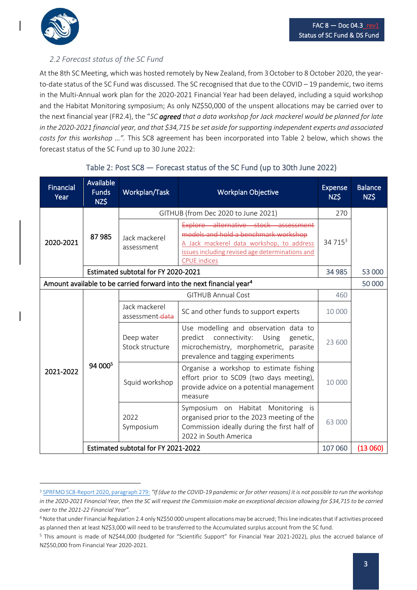

#### *2.2 Forecast status of the SC Fund*

At the 8th SC Meeting, which was hosted remotely by New Zealand, from 3October to 8 October 2020, the yearto-date status of the SC Fund was discussed. The SC recognised that due to the COVID – 19 pandemic, two items in the Multi-Annual work plan for the 2020-2021 Financial Year had been delayed, including a squid workshop and the Habitat Monitoring symposium; As only NZ\$50,000 of the unspent allocations may be carried over to the next financial year (FR2.4), the "*SC agreed that a data workshop for Jack mackerel would be planned for late in the 2020-2021 financial year, and that \$34,715 be set aside for supporting independent experts and associated costs for this workshop …".* This SC8 agreement has been incorporated into Table 2 below, which shows the forecast status of the SC Fund up to 30 June 2022:

| <b>Financial</b><br>Year                                                         | Available<br><b>Funds</b><br>NZ\$   | Workplan/Task                       | <b>Workplan Objective</b>                                                                                                                                                                           | <b>Expense</b><br>NZ\$ | <b>Balance</b><br>NZ\$ |
|----------------------------------------------------------------------------------|-------------------------------------|-------------------------------------|-----------------------------------------------------------------------------------------------------------------------------------------------------------------------------------------------------|------------------------|------------------------|
|                                                                                  | 87985                               | GITHUB (from Dec 2020 to June 2021) |                                                                                                                                                                                                     |                        |                        |
| 2020-2021                                                                        |                                     | Jack mackerel<br>assessment         | Explore alternative stock assessment<br>models and hold a benchmark workshop<br>A Jack mackerel data workshop, to address<br>issues including revised age determinations and<br><b>CPUE</b> indices | 34 715 <sup>3</sup>    |                        |
|                                                                                  | Estimated subtotal for FY 2020-2021 | 34 985                              | 53 000                                                                                                                                                                                              |                        |                        |
| Amount available to be carried forward into the next financial year <sup>4</sup> |                                     |                                     |                                                                                                                                                                                                     |                        | 50 000                 |
|                                                                                  | 94 000 <sup>5</sup>                 |                                     | <b>GITHUB Annual Cost</b>                                                                                                                                                                           | 460                    |                        |
|                                                                                  |                                     | Jack mackerel<br>assessment-data    | SC and other funds to support experts                                                                                                                                                               | 10 000                 |                        |
|                                                                                  |                                     | Deep water<br>Stock structure       | Use modelling and observation data to<br>predict connectivity: Using<br>genetic,<br>microchemistry, morphometric, parasite<br>prevalence and tagging experiments                                    | 23 600                 |                        |
| 2021-2022                                                                        |                                     | Squid workshop                      | Organise a workshop to estimate fishing<br>effort prior to SC09 (two days meeting),<br>provide advice on a potential management<br>measure                                                          | 10 000                 |                        |
|                                                                                  |                                     | 2022<br>Symposium                   | Symposium on Habitat Monitoring is<br>organised prior to the 2023 meeting of the<br>Commission ideally during the first half of<br>2022 in South America                                            | 63 000                 |                        |
|                                                                                  | Estimated subtotal for FY 2021-2022 |                                     |                                                                                                                                                                                                     |                        | (13060)                |

#### Table 2: Post SC8 — Forecast status of the SC Fund (up to 30th June 2022)

<sup>3</sup> [SPRFMO SC8-Report 2020,](http://www.sprfmo.int/assets/2020-SC8/Report/SPRFMO-SC8-Report-2020.pdf) paragraph 279: *"If (due to the COVID-19 pandemic or for other reasons) it is not possible to run the workshop in the 2020-2021 Financial Year, then the SC will request the Commission make an exceptional decision allowing for \$34,715 to be carried over to the 2021-22 Financial Year".*

<sup>4</sup> Note that under Financial Regulation 2.4 only NZ\$50 000 unspent allocations may be accrued; This line indicates that if activities proceed as planned then at least NZ\$3,000 will need to be transferred to the Accumulated surplus account from the SC fund.

<sup>5</sup> This amount is made of NZ\$44,000 (budgeted for "Scientific Support" for Financial Year 2021-2022), plus the accrued balance of NZ\$50,000 from Financial Year 2020-2021.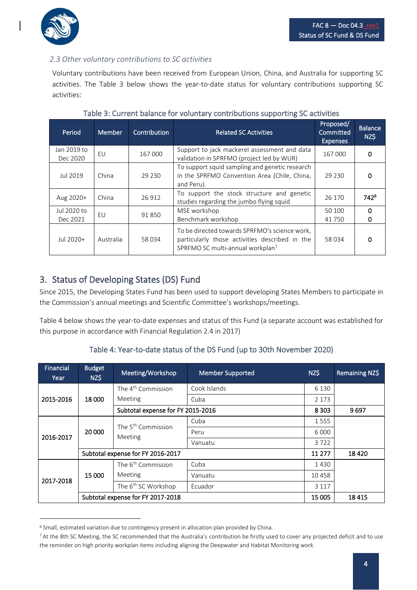

### *2.3 Other voluntary contributions to SC activities*

Voluntary contributions have been received from European Union, China, and Australia for supporting SC activities. The Table 3 below shows the year-to-date status for voluntary contributions supporting SC activities:

| Period                  | Member                                                                                                                                                                 | Contribution                                                                                                           | <b>Related SC Activities</b>                                                              | Proposed/<br>Committed<br><b>Expenses</b> | <b>Balance</b><br>NZ\$ |
|-------------------------|------------------------------------------------------------------------------------------------------------------------------------------------------------------------|------------------------------------------------------------------------------------------------------------------------|-------------------------------------------------------------------------------------------|-------------------------------------------|------------------------|
| Jan 2019 to<br>Dec 2020 | EU                                                                                                                                                                     | 167 000                                                                                                                | Support to jack mackerel assessment and data<br>validation in SPRFMO (project led by WUR) | 167 000                                   | 0                      |
| Jul 2019                | China                                                                                                                                                                  | To support squid sampling and genetic research<br>in the SPRFMO Convention Area (Chile, China,<br>29 230<br>and Peru). |                                                                                           | 29 230                                    |                        |
| Aug 2020+               | To support the stock structure and genetic<br>China<br>26 912<br>studies regarding the jumbo flying squid                                                              |                                                                                                                        | 26 170                                                                                    | 742 <sup>6</sup>                          |                        |
| Jul 2020 to<br>Dec 2021 | MSE workshop<br>EU<br>91850<br>Benchmark workshop                                                                                                                      |                                                                                                                        | 50 100<br>41750                                                                           | O                                         |                        |
| Jul 2020+               | To be directed towards SPRFMO's science work,<br>particularly those activities described in the<br>Australia<br>58 034<br>SPRFMO SC multi-annual workplan <sup>7</sup> |                                                                                                                        | 58 034                                                                                    |                                           |                        |

#### Table 3: Current balance for voluntary contributions supporting SC activities

## 3. Status of Developing States (DS) Fund

Since 2015, the Developing States Fund has been used to support developing States Members to participate in the Commission's annual meetings and Scientific Committee's workshops/meetings.

Table 4 below shows the year-to-date expenses and status of this Fund (a separate account was established for this purpose in accordance with Financial Regulation 2.4 in 2017)

#### Table 4: Year-to-date status of the DS Fund (up to 30th November 2020)

| Financial<br>Year | <b>Budget</b><br>NZ\$             | Meeting/Workshop                          | <b>Member Supported</b> | NZ\$    | Remaining NZ\$ |
|-------------------|-----------------------------------|-------------------------------------------|-------------------------|---------|----------------|
| 2015-2016         | 18 000                            | The 4 <sup>th</sup> Commission            | Cook Islands            | 6 1 3 0 |                |
|                   |                                   | Meeting                                   | Cuba                    | 2 1 7 3 |                |
|                   |                                   | Subtotal expense for FY 2015-2016         |                         | 8 3 0 3 | 9697           |
| 2016-2017         | 20 000                            | The 5 <sup>th</sup> Commission<br>Meeting | Cuba                    | 1555    |                |
|                   |                                   |                                           | Peru                    | 6 0 0 0 |                |
|                   |                                   |                                           | Vanuatu                 | 3722    |                |
|                   | Subtotal expense for FY 2016-2017 |                                           |                         | 11 277  | 18420          |
| 2017-2018         | 15 000                            | The 6 <sup>th</sup> Commission            | Cuba                    | 1430    |                |
|                   |                                   | Meeting                                   | Vanuatu                 | 10458   |                |
|                   |                                   | The 6 <sup>th</sup> SC Workshop           | Ecuador                 | 3 1 1 7 |                |
|                   | Subtotal expense for FY 2017-2018 |                                           |                         | 15 005  | 18415          |

<sup>&</sup>lt;sup>6</sup> Small, estimated variation due to contingency present in allocation plan provided by China.

<sup>7</sup> At the 8th SC Meeting, the SC recommended that the Australia's contribution be firstly used to cover any projected deficit and to use the reminder on high priority workplan items including aligning the Deepwater and Habitat Monitoring work.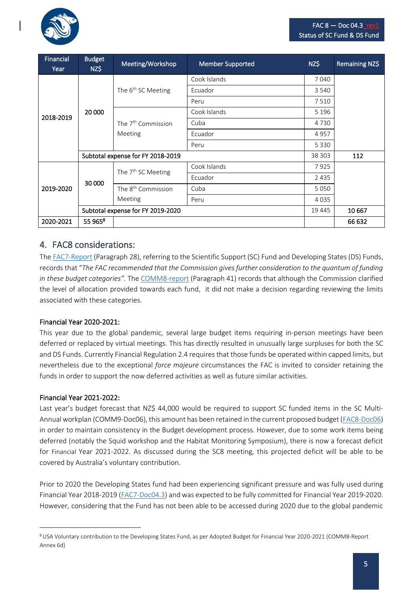

| Financial<br>Year | <b>Budget</b><br>NZ\$             | Meeting/Workshop               | <b>Member Supported</b> | NZ\$    | Remaining NZ\$ |
|-------------------|-----------------------------------|--------------------------------|-------------------------|---------|----------------|
| 2018-2019         | 20 000                            | The $6th$ SC Meeting           | Cook Islands            | 7040    |                |
|                   |                                   |                                | Ecuador                 | 3 5 4 0 |                |
|                   |                                   |                                | Peru                    | 7510    |                |
|                   |                                   |                                | Cook Islands            | 5 1 9 6 |                |
|                   |                                   | The 7 <sup>th</sup> Commission | Cuba                    | 4 7 3 0 |                |
|                   |                                   | Meeting                        | Ecuador                 | 4957    |                |
|                   |                                   |                                | Peru                    | 5 3 3 0 |                |
|                   | Subtotal expense for FY 2018-2019 |                                |                         | 38 303  | 112            |
|                   | 30 000                            | The 7 <sup>th</sup> SC Meeting | Cook Islands            | 7925    |                |
| 2019-2020         |                                   |                                | Ecuador                 | 2 4 3 5 |                |
|                   |                                   | The 8 <sup>th</sup> Commission | Cuba                    | 5050    |                |
|                   |                                   | Meeting                        | Peru                    | 4 0 3 5 |                |
|                   | Subtotal expense for FY 2019-2020 |                                |                         | 19 4 45 | 10 667         |
| 2020-2021         | 55 965 <sup>8</sup>               |                                |                         |         | 66 632         |

## 4. FAC8 considerations:

Th[e FAC7-Report](http://www.sprfmo.int/assets/2020-Annual-Meeting/Reports/FAC7-Report-10Mar2020.pdf) (Paragraph 28), referring to the Scientific Support (SC) Fund and Developing States (DS) Funds, records that "*The FAC recommended that the Commission gives further consideration to the quantum of funding in these budget categories".* The [COMM8-report](http://www.sprfmo.int/assets/2020-Annual-Meeting/Reports/COMM8-Meeting-Report-Final-10Mar2020.pdf) (Paragraph 41) records that although the Commission clarified the level of allocation provided towards each fund, it did not make a decision regarding reviewing the limits associated with these categories.

#### Financial Year 2020-2021:

This year due to the global pandemic, several large budget items requiring in-person meetings have been deferred or replaced by virtual meetings. This has directly resulted in unusually large surpluses for both the SC and DS Funds. Currently Financial Regulation 2.4 requires that those funds be operated within capped limits, but nevertheless due to the exceptional *force majeure* circumstances the FAC is invited to consider retaining the funds in order to support the now deferred activities as well as future similar activities.

#### Financial Year 2021-2022:

Last year's budget forecast that NZ\$ 44,000 would be required to support SC funded items in the SC Multi-Annual workplan (COMM9-Doc06), this amount has been retained in the current proposed budget [\(FAC8-Doc06\)](http://www.sprfmo.int/assets/0-2021-Annual-Meeting/FAC8/FAC8-Doc06-Draft-Budget-for-Financial-Year-2021-22-and-2022-23.pdf) in order to maintain consistency in the Budget development process. However, due to some work items being deferred (notably the Squid workshop and the Habitat Monitoring Symposium), there is now a forecast deficit for Financial Year 2021-2022. As discussed during the SC8 meeting, this projected deficit will be able to be covered by Australia's voluntary contribution.

Prior to 2020 the Developing States fund had been experiencing significant pressure and was fully used during Financial Year 2018-2019 [\(FAC7-Doc04.3\)](http://www.sprfmo.int/assets/2020-Annual-Meeting/FAC7-2020/Docs/FAC7-Doc04.3-Status-of-SC-Scientific-Support-Fund-Developing-States-Fund.pdf) and was expected to be fully committed for Financial Year 2019-2020. However, considering that the Fund has not been able to be accessed during 2020 due to the global pandemic

<sup>8</sup>USA Voluntary contribution to the Developing States Fund, as per Adopted Budget for Financial Year 2020-2021 (COMM8-Report Annex 6d)